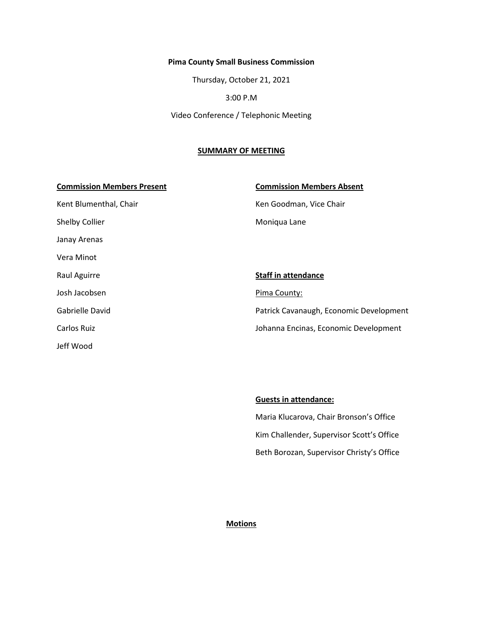#### **Pima County Small Business Commission**

Thursday, October 21, 2021

#### 3:00 P.M

Video Conference / Telephonic Meeting

#### **SUMMARY OF MEETING**

#### **Commission Members Present Commission Members Absent**

Kent Blumenthal, Chair **Ken Goodman**, Vice Chair Shelby Collier **Moniqua Lane** Moniqua Lane Janay Arenas Vera Minot Raul Aguirre **National Aguirre Raul Aguirre Staff in attendance** Josh Jacobsen **Pima County:** Jeff Wood

Gabrielle David **Patrick Cavanaugh, Economic Development** Carlos Ruiz Johanna Encinas, Economic Development

**Guests in attendance:**

Maria Klucarova, Chair Bronson's Office Kim Challender, Supervisor Scott's Office Beth Borozan, Supervisor Christy's Office

**Motions**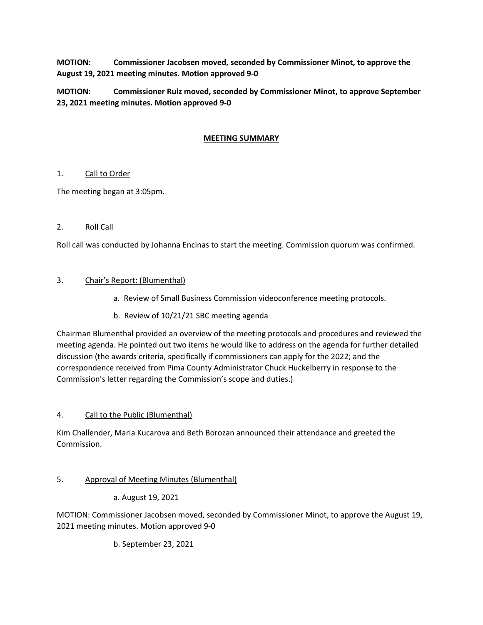**MOTION: Commissioner Jacobsen moved, seconded by Commissioner Minot, to approve the August 19, 2021 meeting minutes. Motion approved 9-0**

**MOTION: Commissioner Ruiz moved, seconded by Commissioner Minot, to approve September 23, 2021 meeting minutes. Motion approved 9-0**

## **MEETING SUMMARY**

## 1. Call to Order

The meeting began at 3:05pm.

## 2. Roll Call

Roll call was conducted by Johanna Encinas to start the meeting. Commission quorum was confirmed.

## 3. Chair's Report: (Blumenthal)

- a. Review of Small Business Commission videoconference meeting protocols.
- b. Review of 10/21/21 SBC meeting agenda

Chairman Blumenthal provided an overview of the meeting protocols and procedures and reviewed the meeting agenda. He pointed out two items he would like to address on the agenda for further detailed discussion (the awards criteria, specifically if commissioners can apply for the 2022; and the correspondence received from Pima County Administrator Chuck Huckelberry in response to the Commission's letter regarding the Commission's scope and duties.)

#### 4. Call to the Public (Blumenthal)

Kim Challender, Maria Kucarova and Beth Borozan announced their attendance and greeted the Commission.

# 5. Approval of Meeting Minutes (Blumenthal)

a. August 19, 2021

MOTION: Commissioner Jacobsen moved, seconded by Commissioner Minot, to approve the August 19, 2021 meeting minutes. Motion approved 9-0

b. September 23, 2021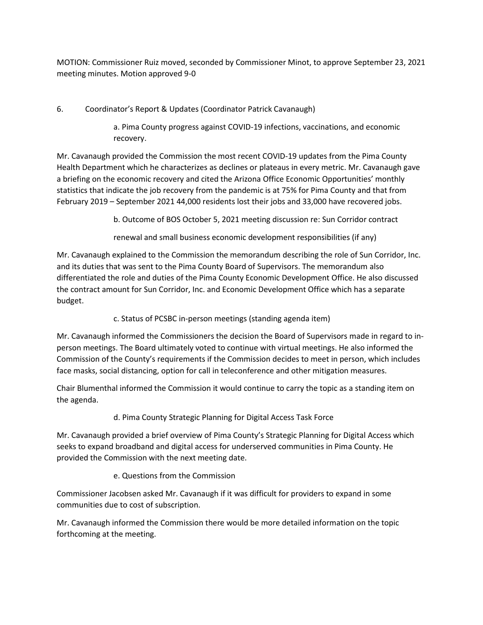MOTION: Commissioner Ruiz moved, seconded by Commissioner Minot, to approve September 23, 2021 meeting minutes. Motion approved 9-0

6. Coordinator's Report & Updates (Coordinator Patrick Cavanaugh)

a. Pima County progress against COVID-19 infections, vaccinations, and economic recovery.

Mr. Cavanaugh provided the Commission the most recent COVID-19 updates from the Pima County Health Department which he characterizes as declines or plateaus in every metric. Mr. Cavanaugh gave a briefing on the economic recovery and cited the Arizona Office Economic Opportunities' monthly statistics that indicate the job recovery from the pandemic is at 75% for Pima County and that from February 2019 – September 2021 44,000 residents lost their jobs and 33,000 have recovered jobs.

b. Outcome of BOS October 5, 2021 meeting discussion re: Sun Corridor contract

renewal and small business economic development responsibilities (if any)

Mr. Cavanaugh explained to the Commission the memorandum describing the role of Sun Corridor, Inc. and its duties that was sent to the Pima County Board of Supervisors. The memorandum also differentiated the role and duties of the Pima County Economic Development Office. He also discussed the contract amount for Sun Corridor, Inc. and Economic Development Office which has a separate budget.

c. Status of PCSBC in-person meetings (standing agenda item)

Mr. Cavanaugh informed the Commissioners the decision the Board of Supervisors made in regard to inperson meetings. The Board ultimately voted to continue with virtual meetings. He also informed the Commission of the County's requirements if the Commission decides to meet in person, which includes face masks, social distancing, option for call in teleconference and other mitigation measures.

Chair Blumenthal informed the Commission it would continue to carry the topic as a standing item on the agenda.

d. Pima County Strategic Planning for Digital Access Task Force

Mr. Cavanaugh provided a brief overview of Pima County's Strategic Planning for Digital Access which seeks to expand broadband and digital access for underserved communities in Pima County. He provided the Commission with the next meeting date.

e. Questions from the Commission

Commissioner Jacobsen asked Mr. Cavanaugh if it was difficult for providers to expand in some communities due to cost of subscription.

Mr. Cavanaugh informed the Commission there would be more detailed information on the topic forthcoming at the meeting.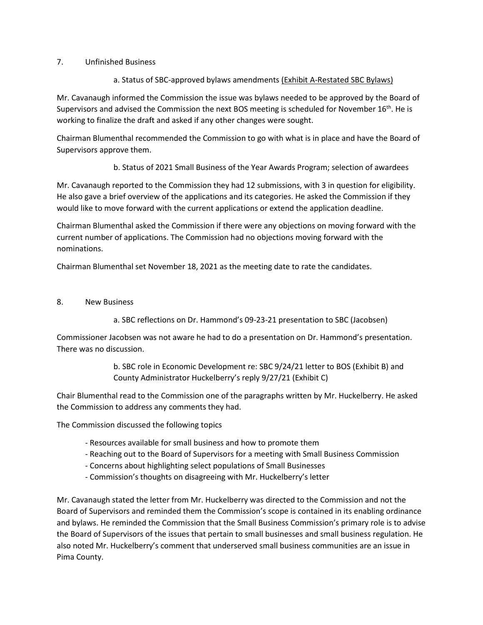### 7. Unfinished Business

a. Status of SBC-approved bylaws amendments (Exhibit A-Restated SBC Bylaws)

Mr. Cavanaugh informed the Commission the issue was bylaws needed to be approved by the Board of Supervisors and advised the Commission the next BOS meeting is scheduled for November  $16<sup>th</sup>$ . He is working to finalize the draft and asked if any other changes were sought.

Chairman Blumenthal recommended the Commission to go with what is in place and have the Board of Supervisors approve them.

b. Status of 2021 Small Business of the Year Awards Program; selection of awardees

Mr. Cavanaugh reported to the Commission they had 12 submissions, with 3 in question for eligibility. He also gave a brief overview of the applications and its categories. He asked the Commission if they would like to move forward with the current applications or extend the application deadline.

Chairman Blumenthal asked the Commission if there were any objections on moving forward with the current number of applications. The Commission had no objections moving forward with the nominations.

Chairman Blumenthal set November 18, 2021 as the meeting date to rate the candidates.

#### 8. New Business

a. SBC reflections on Dr. Hammond's 09-23-21 presentation to SBC (Jacobsen)

Commissioner Jacobsen was not aware he had to do a presentation on Dr. Hammond's presentation. There was no discussion.

> b. SBC role in Economic Development re: SBC 9/24/21 letter to BOS (Exhibit B) and County Administrator Huckelberry's reply 9/27/21 (Exhibit C)

Chair Blumenthal read to the Commission one of the paragraphs written by Mr. Huckelberry. He asked the Commission to address any comments they had.

The Commission discussed the following topics

- Resources available for small business and how to promote them
- Reaching out to the Board of Supervisors for a meeting with Small Business Commission
- Concerns about highlighting select populations of Small Businesses
- Commission's thoughts on disagreeing with Mr. Huckelberry's letter

Mr. Cavanaugh stated the letter from Mr. Huckelberry was directed to the Commission and not the Board of Supervisors and reminded them the Commission's scope is contained in its enabling ordinance and bylaws. He reminded the Commission that the Small Business Commission's primary role is to advise the Board of Supervisors of the issues that pertain to small businesses and small business regulation. He also noted Mr. Huckelberry's comment that underserved small business communities are an issue in Pima County.